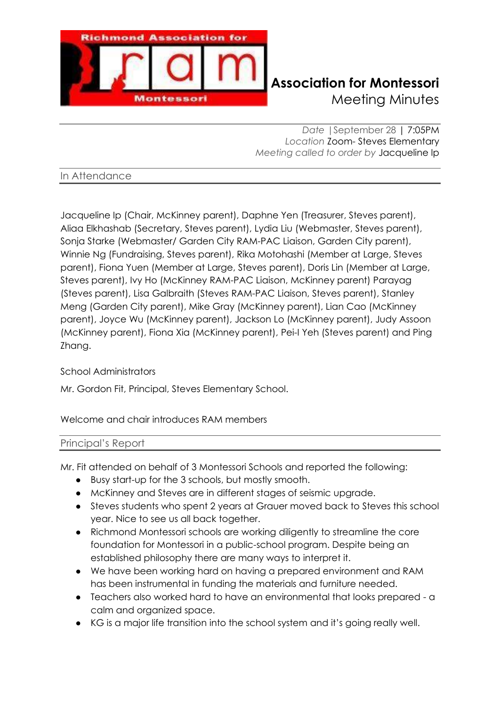

# **Richmond Association for Montessori** Meeting Minutes

*Date |*September 28 | 7:05PM *Location* Zoom- Steves Elementary *Meeting called to order by* Jacqueline Ip

In Attendance

Jacqueline Ip (Chair, McKinney parent), Daphne Yen (Treasurer, Steves parent), Aliaa Elkhashab (Secretary, Steves parent), Lydia Liu (Webmaster, Steves parent), Sonja Starke (Webmaster/ Garden City RAM-PAC Liaison, Garden City parent), Winnie Ng (Fundraising, Steves parent), Rika Motohashi (Member at Large, Steves parent), Fiona Yuen (Member at Large, Steves parent), Doris Lin (Member at Large, Steves parent), Ivy Ho (McKinney RAM-PAC Liaison, McKinney parent) Parayag (Steves parent), Lisa Galbraith (Steves RAM-PAC Liaison, Steves parent), Stanley Meng (Garden City parent), Mike Gray (McKinney parent), Lian Cao (McKinney parent), Joyce Wu (McKinney parent), Jackson Lo (McKinney parent), Judy Assoon (McKinney parent), Fiona Xia (McKinney parent), Pei-I Yeh (Steves parent) and Ping Zhang.

# School Administrators

Mr. Gordon Fit, Principal, Steves Elementary School.

Welcome and chair introduces RAM members

# Principal's Report

Mr. Fit attended on behalf of 3 Montessori Schools and reported the following:

- Busy start-up for the 3 schools, but mostly smooth.
- McKinney and Steves are in different stages of seismic upgrade.
- Steves students who spent 2 years at Grauer moved back to Steves this school year. Nice to see us all back together.
- Richmond Montessori schools are working diligently to streamline the core foundation for Montessori in a public-school program. Despite being an established philosophy there are many ways to interpret it.
- We have been working hard on having a prepared environment and RAM has been instrumental in funding the materials and furniture needed.
- Teachers also worked hard to have an environmental that looks prepared a calm and organized space.
- KG is a major life transition into the school system and it's going really well.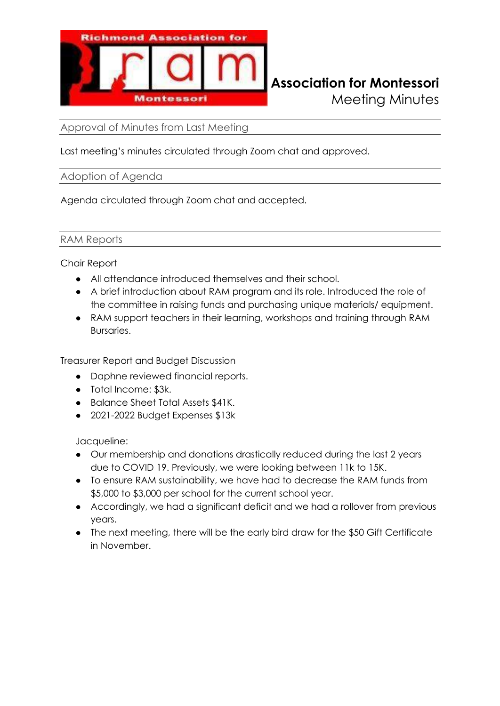

Approval of Minutes from Last Meeting

Last meeting's minutes circulated through Zoom chat and approved.

### Adoption of Agenda

Agenda circulated through Zoom chat and accepted.

#### RAM Reports

Chair Report

- All attendance introduced themselves and their school.
- A brief introduction about RAM program and its role. Introduced the role of the committee in raising funds and purchasing unique materials/ equipment.
- RAM support teachers in their learning, workshops and training through RAM Bursaries.

Treasurer Report and Budget Discussion

- Daphne reviewed financial reports.
- Total Income: \$3k.
- Balance Sheet Total Assets \$41K.
- 2021-2022 Budget Expenses \$13k

Jacqueline:

- Our membership and donations drastically reduced during the last 2 years due to COVID 19. Previously, we were looking between 11k to 15K.
- To ensure RAM sustainability, we have had to decrease the RAM funds from \$5,000 to \$3,000 per school for the current school year.
- Accordingly, we had a significant deficit and we had a rollover from previous years.
- The next meeting, there will be the early bird draw for the \$50 Gift Certificate in November.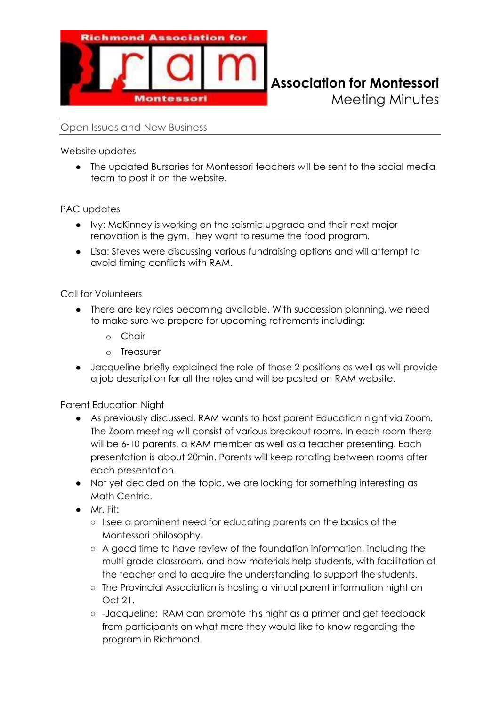

Meeting Minutes

Open Issues and New Business

Website updates

● The updated Bursaries for Montessori teachers will be sent to the social media team to post it on the website.

PAC updates

- Ivy: McKinney is working on the seismic upgrade and their next major renovation is the gym. They want to resume the food program.
- Lisa: Steves were discussing various fundraising options and will attempt to avoid timing conflicts with RAM.

Call for Volunteers

- There are key roles becoming available. With succession planning, we need to make sure we prepare for upcoming retirements including:
	- o Chair
	- o Treasurer
- Jacqueline briefly explained the role of those 2 positions as well as will provide a job description for all the roles and will be posted on RAM website.

Parent Education Night

- As previously discussed, RAM wants to host parent Education night via Zoom. The Zoom meeting will consist of various breakout rooms. In each room there will be 6-10 parents, a RAM member as well as a teacher presenting. Each presentation is about 20min. Parents will keep rotating between rooms after each presentation.
- Not yet decided on the topic, we are looking for something interesting as Math Centric.
- Mr. Fit:
	- I see a prominent need for educating parents on the basics of the Montessori philosophy.
	- A good time to have review of the foundation information, including the multi-grade classroom, and how materials help students, with facilitation of the teacher and to acquire the understanding to support the students.
	- The Provincial Association is hosting a virtual parent information night on Oct 21.
	- -Jacqueline: RAM can promote this night as a primer and get feedback from participants on what more they would like to know regarding the program in Richmond.